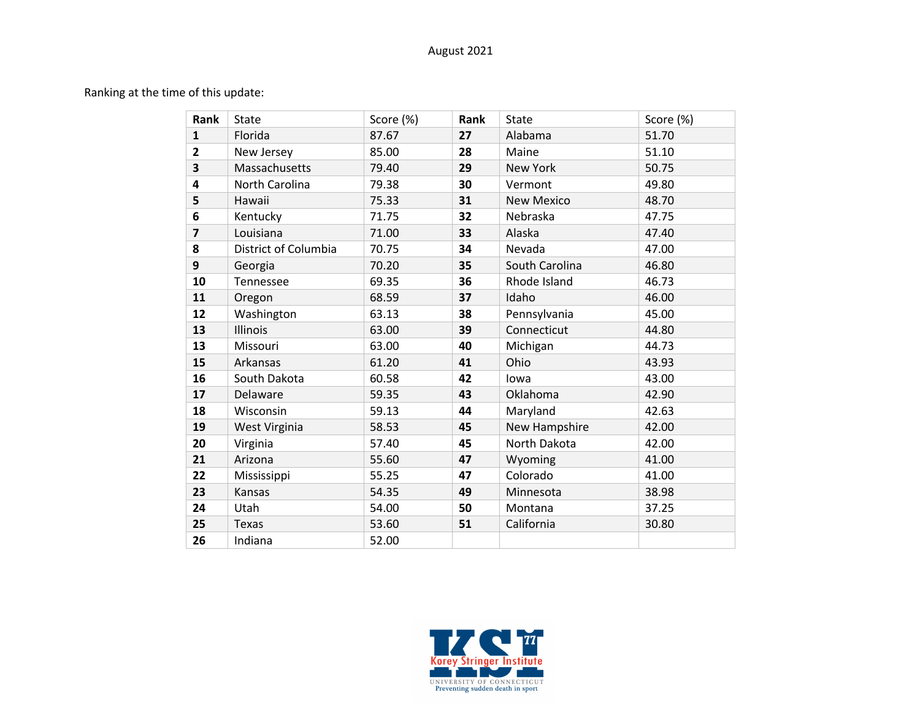## August 2021

Ranking at the time of this update:

| Rank           | State                | Score (%) | Rank | <b>State</b>      | Score (%) |
|----------------|----------------------|-----------|------|-------------------|-----------|
| $\mathbf{1}$   | Florida              | 87.67     | 27   | Alabama           | 51.70     |
| $\mathbf{2}$   | New Jersey           | 85.00     | 28   | Maine             | 51.10     |
| 3              | Massachusetts        | 79.40     | 29   | <b>New York</b>   | 50.75     |
| 4              | North Carolina       | 79.38     | 30   | Vermont           | 49.80     |
| 5              | Hawaii               | 75.33     | 31   | <b>New Mexico</b> | 48.70     |
| 6              | Kentucky             | 71.75     | 32   | Nebraska          | 47.75     |
| $\overline{7}$ | Louisiana            | 71.00     | 33   | Alaska            | 47.40     |
| 8              | District of Columbia | 70.75     | 34   | Nevada            | 47.00     |
| 9              | Georgia              | 70.20     | 35   | South Carolina    | 46.80     |
| 10             | Tennessee            | 69.35     | 36   | Rhode Island      | 46.73     |
| 11             | Oregon               | 68.59     | 37   | Idaho             | 46.00     |
| 12             | Washington           | 63.13     | 38   | Pennsylvania      | 45.00     |
| 13             | Illinois             | 63.00     | 39   | Connecticut       | 44.80     |
| 13             | Missouri             | 63.00     | 40   | Michigan          | 44.73     |
| 15             | Arkansas             | 61.20     | 41   | Ohio              | 43.93     |
| 16             | South Dakota         | 60.58     | 42   | lowa              | 43.00     |
| 17             | Delaware             | 59.35     | 43   | Oklahoma          | 42.90     |
| 18             | Wisconsin            | 59.13     | 44   | Maryland          | 42.63     |
| 19             | West Virginia        | 58.53     | 45   | New Hampshire     | 42.00     |
| 20             | Virginia             | 57.40     | 45   | North Dakota      | 42.00     |
| 21             | Arizona              | 55.60     | 47   | Wyoming           | 41.00     |
| 22             | Mississippi          | 55.25     | 47   | Colorado          | 41.00     |
| 23             | Kansas               | 54.35     | 49   | Minnesota         | 38.98     |
| 24             | Utah                 | 54.00     | 50   | Montana           | 37.25     |
| 25             | <b>Texas</b>         | 53.60     | 51   | California        | 30.80     |
| 26             | Indiana              | 52.00     |      |                   |           |

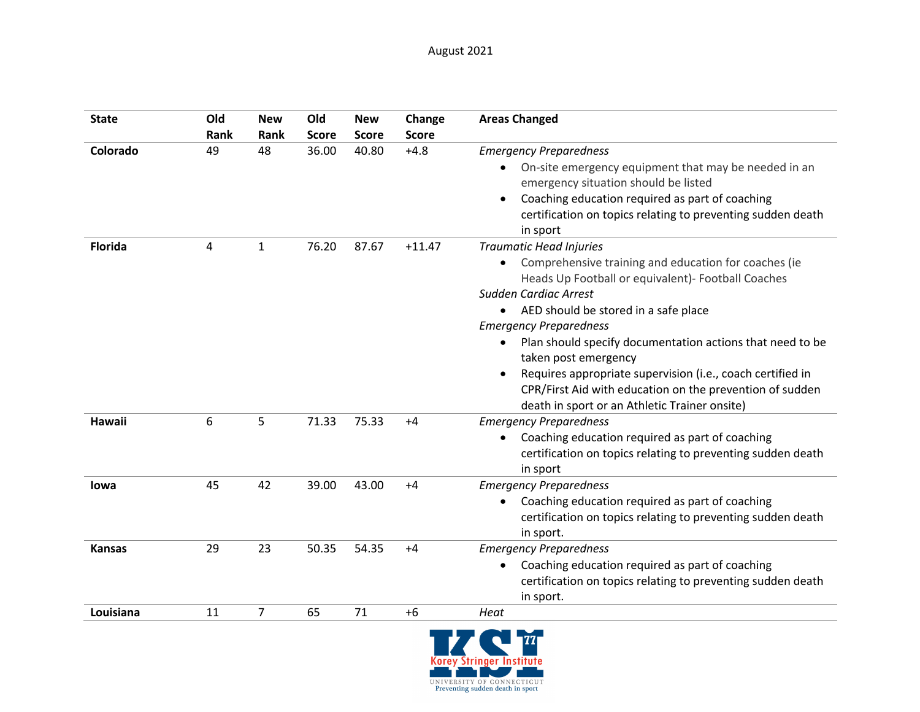| <b>State</b>   | Old<br>Rank | <b>New</b><br>Rank | Old<br><b>Score</b> | <b>New</b><br><b>Score</b> | Change<br><b>Score</b> | <b>Areas Changed</b>                                                                                                                                                                                                                                                                                                                                                                                                                                                                                                                                  |
|----------------|-------------|--------------------|---------------------|----------------------------|------------------------|-------------------------------------------------------------------------------------------------------------------------------------------------------------------------------------------------------------------------------------------------------------------------------------------------------------------------------------------------------------------------------------------------------------------------------------------------------------------------------------------------------------------------------------------------------|
| Colorado       | 49          | 48                 | 36.00               | 40.80                      | $+4.8$                 | <b>Emergency Preparedness</b><br>On-site emergency equipment that may be needed in an<br>$\bullet$<br>emergency situation should be listed<br>Coaching education required as part of coaching<br>certification on topics relating to preventing sudden death<br>in sport                                                                                                                                                                                                                                                                              |
| <b>Florida</b> | 4           | 1                  | 76.20               | 87.67                      | $+11.47$               | <b>Traumatic Head Injuries</b><br>Comprehensive training and education for coaches (ie<br>$\bullet$<br>Heads Up Football or equivalent)- Football Coaches<br>Sudden Cardiac Arrest<br>AED should be stored in a safe place<br><b>Emergency Preparedness</b><br>Plan should specify documentation actions that need to be<br>$\bullet$<br>taken post emergency<br>Requires appropriate supervision (i.e., coach certified in<br>$\bullet$<br>CPR/First Aid with education on the prevention of sudden<br>death in sport or an Athletic Trainer onsite) |
| Hawaii         | 6           | 5                  | 71.33               | 75.33                      | $+4$                   | <b>Emergency Preparedness</b><br>Coaching education required as part of coaching<br>$\bullet$<br>certification on topics relating to preventing sudden death<br>in sport                                                                                                                                                                                                                                                                                                                                                                              |
| <b>lowa</b>    | 45          | 42                 | 39.00               | 43.00                      | $+4$                   | <b>Emergency Preparedness</b><br>Coaching education required as part of coaching<br>$\bullet$<br>certification on topics relating to preventing sudden death<br>in sport.                                                                                                                                                                                                                                                                                                                                                                             |
| <b>Kansas</b>  | 29          | 23                 | 50.35               | 54.35                      | $+4$                   | <b>Emergency Preparedness</b><br>Coaching education required as part of coaching<br>$\bullet$<br>certification on topics relating to preventing sudden death<br>in sport.                                                                                                                                                                                                                                                                                                                                                                             |
| Louisiana      | 11          | 7                  | 65                  | 71                         | $+6$                   | Heat                                                                                                                                                                                                                                                                                                                                                                                                                                                                                                                                                  |